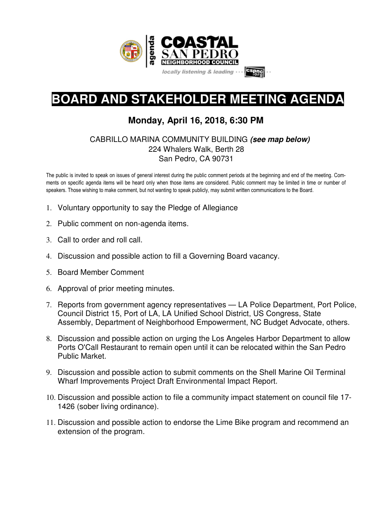

# **BOARD AND STAKEHOLDER MEETING AGENDA**

# **Monday, April 16, 2018, 6:30 PM**

## CABRILLO MARINA COMMUNITY BUILDING **(see map below)** 224 Whalers Walk, Berth 28 San Pedro, CA 90731

The public is invited to speak on issues of general interest during the public comment periods at the beginning and end of the meeting. Comments on specific agenda items will be heard only when those items are considered. Public comment may be limited in time or number of speakers. Those wishing to make comment, but not wanting to speak publicly, may submit written communications to the Board.

- 1. Voluntary opportunity to say the Pledge of Allegiance
- 2. Public comment on non-agenda items.
- 3. Call to order and roll call.
- 4. Discussion and possible action to fill a Governing Board vacancy.
- 5. Board Member Comment
- 6. Approval of prior meeting minutes.
- 7. Reports from government agency representatives LA Police Department, Port Police, Council District 15, Port of LA, LA Unified School District, US Congress, State Assembly, Department of Neighborhood Empowerment, NC Budget Advocate, others.
- 8. Discussion and possible action on urging the Los Angeles Harbor Department to allow Ports O'Call Restaurant to remain open until it can be relocated within the San Pedro Public Market.
- 9. Discussion and possible action to submit comments on the Shell Marine Oil Terminal Wharf Improvements Project Draft Environmental Impact Report.
- 10. Discussion and possible action to file a community impact statement on council file 17- 1426 (sober living ordinance).
- 11. Discussion and possible action to endorse the Lime Bike program and recommend an extension of the program.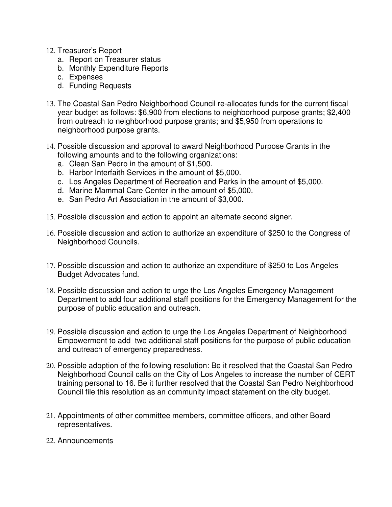- 12. Treasurer's Report
	- a. Report on Treasurer status
	- b. Monthly Expenditure Reports
	- c. Expenses
	- d. Funding Requests
- 13. The Coastal San Pedro Neighborhood Council re-allocates funds for the current fiscal year budget as follows: \$6,900 from elections to neighborhood purpose grants; \$2,400 from outreach to neighborhood purpose grants; and \$5,950 from operations to neighborhood purpose grants.
- 14. Possible discussion and approval to award Neighborhood Purpose Grants in the following amounts and to the following organizations:
	- a. Clean San Pedro in the amount of \$1,500.
	- b. Harbor Interfaith Services in the amount of \$5,000.
	- c. Los Angeles Department of Recreation and Parks in the amount of \$5,000.
	- d. Marine Mammal Care Center in the amount of \$5,000.
	- e. San Pedro Art Association in the amount of \$3,000.
- 15. Possible discussion and action to appoint an alternate second signer.
- 16. Possible discussion and action to authorize an expenditure of \$250 to the Congress of Neighborhood Councils.
- 17. Possible discussion and action to authorize an expenditure of \$250 to Los Angeles Budget Advocates fund.
- 18. Possible discussion and action to urge the Los Angeles Emergency Management Department to add four additional staff positions for the Emergency Management for the purpose of public education and outreach.
- 19. Possible discussion and action to urge the Los Angeles Department of Neighborhood Empowerment to add two additional staff positions for the purpose of public education and outreach of emergency preparedness.
- 20. Possible adoption of the following resolution: Be it resolved that the Coastal San Pedro Neighborhood Council calls on the City of Los Angeles to increase the number of CERT training personal to 16. Be it further resolved that the Coastal San Pedro Neighborhood Council file this resolution as an community impact statement on the city budget.
- 21. Appointments of other committee members, committee officers, and other Board representatives.
- 22. Announcements